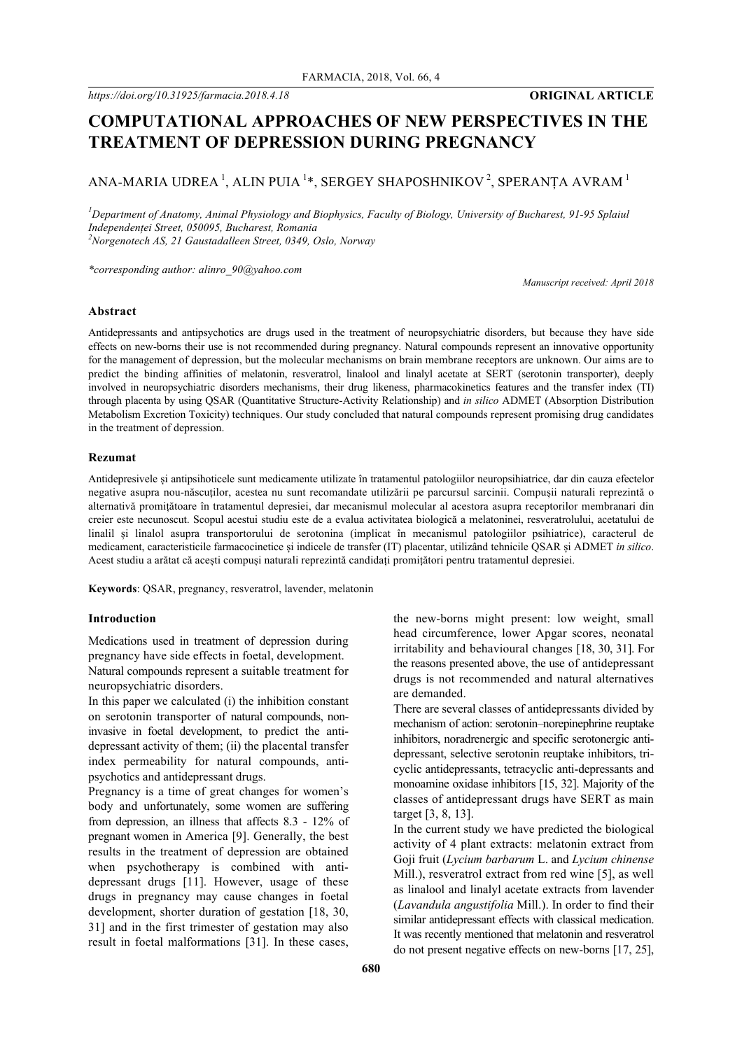# **COMPUTATIONAL APPROACHES OF NEW PERSPECTIVES IN THE TREATMENT OF DEPRESSION DURING PREGNANCY**

## ANA-MARIA UDREA $\,$   $^1$ , alin puia  $^{1*}$ , sergey shaposhnikov  $^2$ , speranța avram  $^1$

*1 Department of Anatomy, Animal Physiology and Biophysics, Faculty of Biology, University of Bucharest, 91-95 Splaiul Independenței Street, 050095, Bucharest, Romania 2 Norgenotech AS, 21 Gaustadalleen Street, 0349, Oslo, Norway*

*\*corresponding author: alinro\_90@yahoo.com*

*Manuscript received: April 2018*

### **Abstract**

Antidepressants and antipsychotics are drugs used in the treatment of neuropsychiatric disorders, but because they have side effects on new-borns their use is not recommended during pregnancy. Natural compounds represent an innovative opportunity for the management of depression, but the molecular mechanisms on brain membrane receptors are unknown. Our aims are to predict the binding affinities of melatonin, resveratrol, linalool and linalyl acetate at SERT (serotonin transporter), deeply involved in neuropsychiatric disorders mechanisms, their drug likeness, pharmacokinetics features and the transfer index (TI) through placenta by using QSAR (Quantitative Structure-Activity Relationship) and *in silico* ADMET (Absorption Distribution Metabolism Excretion Toxicity) techniques. Our study concluded that natural compounds represent promising drug candidates in the treatment of depression.

### **Rezumat**

Antidepresivele și antipsihoticele sunt medicamente utilizate în tratamentul patologiilor neuropsihiatrice, dar din cauza efectelor negative asupra nou-născuților, acestea nu sunt recomandate utilizării pe parcursul sarcinii. Compușii naturali reprezintă o alternativă promițătoare în tratamentul depresiei, dar mecanismul molecular al acestora asupra receptorilor membranari din creier este necunoscut. Scopul acestui studiu este de a evalua activitatea biologică a melatoninei, resveratrolului, acetatului de linalil și linalol asupra transportorului de serotonina (implicat în mecanismul patologiilor psihiatrice), caracterul de medicament, caracteristicile farmacocinetice și indicele de transfer (IT) placentar, utilizând tehnicile QSAR și ADMET *in silico*. Acest studiu a arătat că acești compuși naturali reprezintă candidați promițători pentru tratamentul depresiei.

**Keywords**: QSAR, pregnancy, resveratrol, lavender, melatonin

### **Introduction**

Medications used in treatment of depression during pregnancy have side effects in foetal, development. Natural compounds represent a suitable treatment for neuropsychiatric disorders.

In this paper we calculated (i) the inhibition constant on serotonin transporter of natural compounds, noninvasive in foetal development, to predict the antidepressant activity of them; (ii) the placental transfer index permeability for natural compounds, antipsychotics and antidepressant drugs.

Pregnancy is a time of great changes for women's body and unfortunately, some women are suffering from depression, an illness that affects 8.3 - 12% of pregnant women in America [9]. Generally, the best results in the treatment of depression are obtained when psychotherapy is combined with antidepressant drugs [11]. However, usage of these drugs in pregnancy may cause changes in foetal development, shorter duration of gestation [18, 30, 31] and in the first trimester of gestation may also result in foetal malformations [31]. In these cases, the new-borns might present: low weight, small head circumference, lower Apgar scores, neonatal irritability and behavioural changes [18, 30, 31]. For the reasons presented above, the use of antidepressant drugs is not recommended and natural alternatives are demanded.

There are several classes of antidepressants divided by mechanism of action: serotonin–norepinephrine reuptake inhibitors, noradrenergic and specific serotonergic antidepressant, selective serotonin reuptake inhibitors, tricyclic antidepressants, tetracyclic anti-depressants and monoamine oxidase inhibitors [15, 32]. Majority of the classes of antidepressant drugs have SERT as main target [3, 8, 13].

In the current study we have predicted the biological activity of 4 plant extracts: melatonin extract from Goji fruit (*Lycium barbarum* L. and *Lycium chinense* Mill.), resveratrol extract from red wine [5], as well as linalool and linalyl acetate extracts from lavender (*Lavandula angustifolia* Mill.). In order to find their similar antidepressant effects with classical medication. It was recently mentioned that melatonin and resveratrol do not present negative effects on new-borns [17, 25],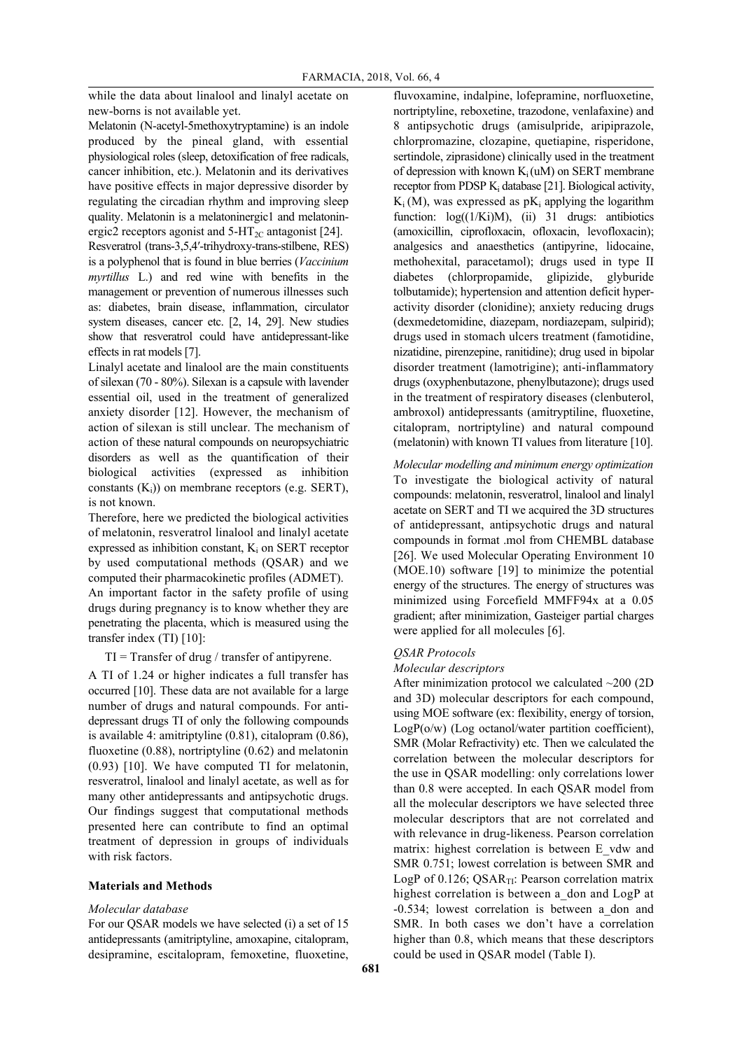while the data about linalool and linalyl acetate on new-borns is not available yet.

Melatonin (N-acetyl-5methoxytryptamine) is an indole produced by the pineal gland, with essential physiological roles (sleep, detoxification of free radicals, cancer inhibition, etc.). Melatonin and its derivatives have positive effects in major depressive disorder by regulating the circadian rhythm and improving sleep quality. Melatonin is a melatoninergic1 and melatoninergic2 receptors agonist and  $5-\text{HT}_{2C}$  antagonist [24].

Resveratrol (trans-3,5,4′-trihydroxy-trans-stilbene, RES) is a polyphenol that is found in blue berries (*Vaccinium myrtillus* L.) and red wine with benefits in the management or prevention of numerous illnesses such as: diabetes, brain disease, inflammation, circulator system diseases, cancer etc. [2, 14, 29]. New studies show that resveratrol could have antidepressant-like effects in rat models [7].

Linalyl acetate and linalool are the main constituents of silexan (70 - 80%). Silexan is a capsule with lavender essential oil, used in the treatment of generalized anxiety disorder [12]. However, the mechanism of action of silexan is still unclear. The mechanism of action of these natural compounds on neuropsychiatric disorders as well as the quantification of their biological activities (expressed as inhibition constants  $(K_i)$ ) on membrane receptors (e.g. SERT), is not known.

Therefore, here we predicted the biological activities of melatonin, resveratrol linalool and linalyl acetate expressed as inhibition constant,  $K_i$  on SERT receptor by used computational methods (QSAR) and we computed their pharmacokinetic profiles (ADMET).

An important factor in the safety profile of using drugs during pregnancy is to know whether they are penetrating the placenta, which is measured using the transfer index (TI) [10]:

 $TI = Transfer of drug / transfer of antipyrene.$ 

A TI of 1.24 or higher indicates a full transfer has occurred [10]. These data are not available for a large number of drugs and natural compounds. For antidepressant drugs TI of only the following compounds is available 4: amitriptyline (0.81), citalopram (0.86), fluoxetine (0.88), nortriptyline (0.62) and melatonin (0.93) [10]. We have computed TI for melatonin, resveratrol, linalool and linalyl acetate, as well as for many other antidepressants and antipsychotic drugs. Our findings suggest that computational methods presented here can contribute to find an optimal treatment of depression in groups of individuals with risk factors.

### **Materials and Methods**

### *Molecular database*

For our QSAR models we have selected (i) a set of 15 antidepressants (amitriptyline, amoxapine, citalopram, desipramine, escitalopram, femoxetine, fluoxetine, fluvoxamine, indalpine, lofepramine, norfluoxetine, nortriptyline, reboxetine, trazodone, venlafaxine) and 8 antipsychotic drugs (amisulpride, aripiprazole, chlorpromazine, clozapine, quetiapine, risperidone, sertindole, ziprasidone) clinically used in the treatment of depression with known  $K_i(uM)$  on SERT membrane receptor from PDSP  $K_i$  database [21]. Biological activity,  $K_i(M)$ , was expressed as p $K_i$  applying the logarithm function:  $log((1/Ki)M)$ , (ii) 31 drugs: antibiotics (amoxicillin, ciprofloxacin, ofloxacin, levofloxacin); analgesics and anaesthetics (antipyrine, lidocaine, methohexital, paracetamol); drugs used in type II diabetes (chlorpropamide, glipizide, glyburide tolbutamide); hypertension and attention deficit hyperactivity disorder (clonidine); anxiety reducing drugs (dexmedetomidine, diazepam, nordiazepam, sulpirid); drugs used in stomach ulcers treatment (famotidine, nizatidine, pirenzepine, ranitidine); drug used in bipolar disorder treatment (lamotrigine); anti-inflammatory drugs (oxyphenbutazone, phenylbutazone); drugs used in the treatment of respiratory diseases (clenbuterol, ambroxol) antidepressants (amitryptiline, fluoxetine, citalopram, nortriptyline) and natural compound (melatonin) with known TI values from literature [10].

*Molecular modelling and minimum energy optimization* To investigate the biological activity of natural compounds: melatonin, resveratrol, linalool and linalyl acetate on SERT and TI we acquired the 3D structures of antidepressant, antipsychotic drugs and natural compounds in format .mol from CHEMBL database [26]. We used Molecular Operating Environment 10 (MOE.10) software [19] to minimize the potential energy of the structures. The energy of structures was minimized using Forcefield MMFF94x at a 0.05 gradient; after minimization, Gasteiger partial charges were applied for all molecules [6].

### *QSAR Protocols*

#### *Molecular descriptors*

After minimization protocol we calculated ~200 (2D and 3D) molecular descriptors for each compound, using MOE software (ex: flexibility, energy of torsion,  $LogP(o/w)$  (Log octanol/water partition coefficient), SMR (Molar Refractivity) etc. Then we calculated the correlation between the molecular descriptors for the use in QSAR modelling: only correlations lower than 0.8 were accepted. In each QSAR model from all the molecular descriptors we have selected three molecular descriptors that are not correlated and with relevance in drug-likeness. Pearson correlation matrix: highest correlation is between E\_vdw and SMR 0.751; lowest correlation is between SMR and LogP of  $0.126$ ; QSAR<sub>TI</sub>: Pearson correlation matrix highest correlation is between a don and LogP at -0.534; lowest correlation is between a\_don and SMR. In both cases we don't have a correlation higher than 0.8, which means that these descriptors could be used in QSAR model (Table I).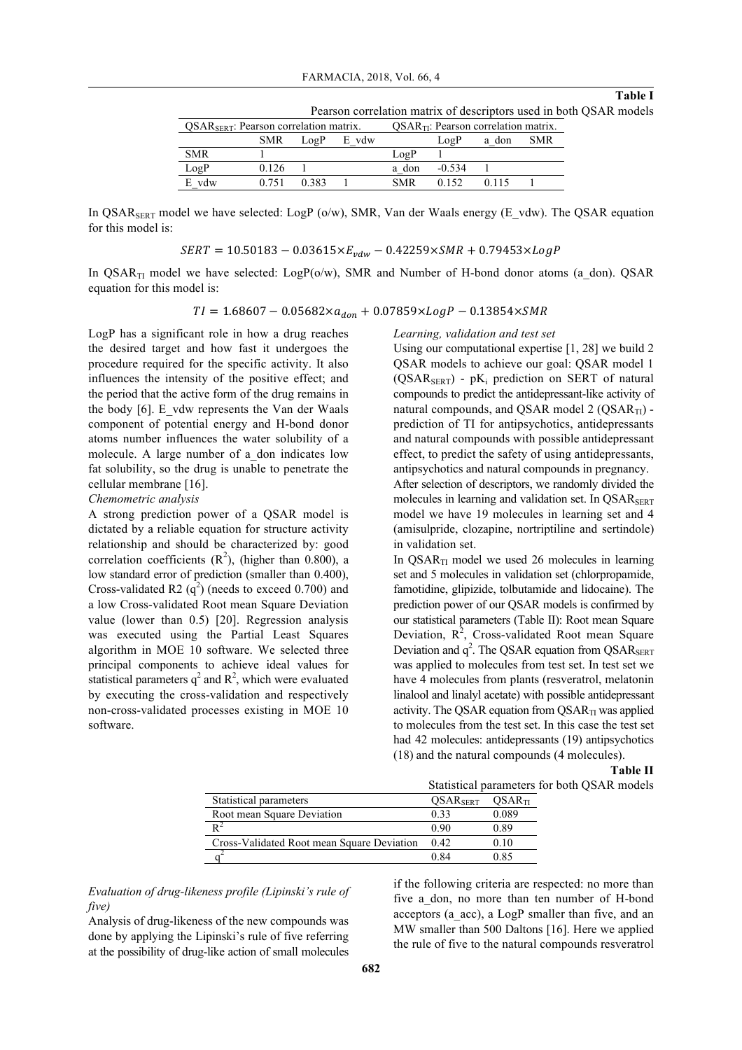#### **Table I**

Pearson correlation matrix of descriptors used in both QSAR models

| $QSARSERT$ : Pearson correlation matrix. |            |      | $QSARTI$ : Pearson correlation matrix. |            |          |       |            |
|------------------------------------------|------------|------|----------------------------------------|------------|----------|-------|------------|
|                                          | <b>SMR</b> | LogP | E vdw                                  |            | LogP     | a don | <b>SMR</b> |
| <b>SMR</b>                               |            |      |                                        | LogP       |          |       |            |
| LogP                                     | 0.126      |      |                                        | a don      | $-0.534$ |       |            |
| vdw<br>E                                 |            |      |                                        | <b>SMR</b> |          |       |            |

In QSAR<sub>SERT</sub> model we have selected: LogP (o/w), SMR, Van der Waals energy (E\_vdw). The QSAR equation for this model is:

 $SERT = 10.50183 - 0.03615 \times E_{vdw} - 0.42259 \times SMR + 0.79453 \times LogP$ 

In QSAR<sub>TI</sub> model we have selected: LogP( $o/w$ ), SMR and Number of H-bond donor atoms (a don). QSAR equation for this model is:

 $TI = 1.68607 - 0.05682 \times a_{don} + 0.07859 \times LogP - 0.13854 \times SMR$ 

LogP has a significant role in how a drug reaches the desired target and how fast it undergoes the procedure required for the specific activity. It also influences the intensity of the positive effect; and the period that the active form of the drug remains in the body [6]. E\_vdw represents the Van der Waals component of potential energy and H-bond donor atoms number influences the water solubility of a molecule. A large number of a\_don indicates low fat solubility, so the drug is unable to penetrate the cellular membrane [16].

*Chemometric analysis*

A strong prediction power of a QSAR model is dictated by a reliable equation for structure activity relationship and should be characterized by: good correlation coefficients  $(R^2)$ , (higher than 0.800), a low standard error of prediction (smaller than 0.400), Cross-validated R2  $(q^2)$  (needs to exceed 0.700) and a low Cross-validated Root mean Square Deviation value (lower than 0.5) [20]. Regression analysis was executed using the Partial Least Squares algorithm in MOE 10 software. We selected three principal components to achieve ideal values for statistical parameters  $q^2$  and  $R^2$ , which were evaluated by executing the cross-validation and respectively non-cross-validated processes existing in MOE 10 software.

#### *Learning, validation and test set*

Using our computational expertise [1, 28] we build 2 QSAR models to achieve our goal: QSAR model 1  $(QSAR<sub>SERT</sub>) - pK<sub>i</sub>$  prediction on SERT of natural compounds to predict the antidepressant-like activity of natural compounds, and QSAR model  $2 (QSAR<sub>TI</sub>)$  prediction of TI for antipsychotics, antidepressants and natural compounds with possible antidepressant effect, to predict the safety of using antidepressants, antipsychotics and natural compounds in pregnancy. After selection of descriptors, we randomly divided the

molecules in learning and validation set. In OSAR<sub>SERT</sub> model we have 19 molecules in learning set and 4 (amisulpride, clozapine, nortriptiline and sertindole) in validation set.

In  $QSAR<sub>TI</sub>$  model we used 26 molecules in learning set and 5 molecules in validation set (chlorpropamide, famotidine, glipizide, tolbutamide and lidocaine). The prediction power of our QSAR models is confirmed by our statistical parameters (Table II): Root mean Square Deviation,  $R^2$ , Cross-validated Root mean Square Deviation and  $q^2$ . The QSAR equation from QSAR SERT was applied to molecules from test set. In test set we have 4 molecules from plants (resveratrol, melatonin linalool and linalyl acetate) with possible antidepressant activity. The QSAR equation from  $\text{OSAR}_{\text{TI}}$  was applied to molecules from the test set. In this case the test set had 42 molecules: antidepressants (19) antipsychotics (18) and the natural compounds (4 molecules).

> **Table II** for both QSAR models

|                                            | Statistical parameters |                    |  |
|--------------------------------------------|------------------------|--------------------|--|
| Statistical parameters                     | OSAR <sub>SERT</sub>   | OSAR <sub>TI</sub> |  |
| Root mean Square Deviation                 | 0.33                   | 0.089              |  |
| $\mathbf{p}^2$                             | 0.90                   | 0.89               |  |
| Cross-Validated Root mean Square Deviation | 0.42                   | 0.10               |  |
|                                            | 0.84                   | 0.85               |  |
|                                            |                        |                    |  |

*Evaluation of drug-likeness profile (Lipinski's rule of five)*

Analysis of drug-likeness of the new compounds was done by applying the Lipinski's rule of five referring at the possibility of drug-like action of small molecules

if the following criteria are respected: no more than five a\_don, no more than ten number of H-bond acceptors (a\_acc), a LogP smaller than five, and an MW smaller than 500 Daltons [16]. Here we applied the rule of five to the natural compounds resveratrol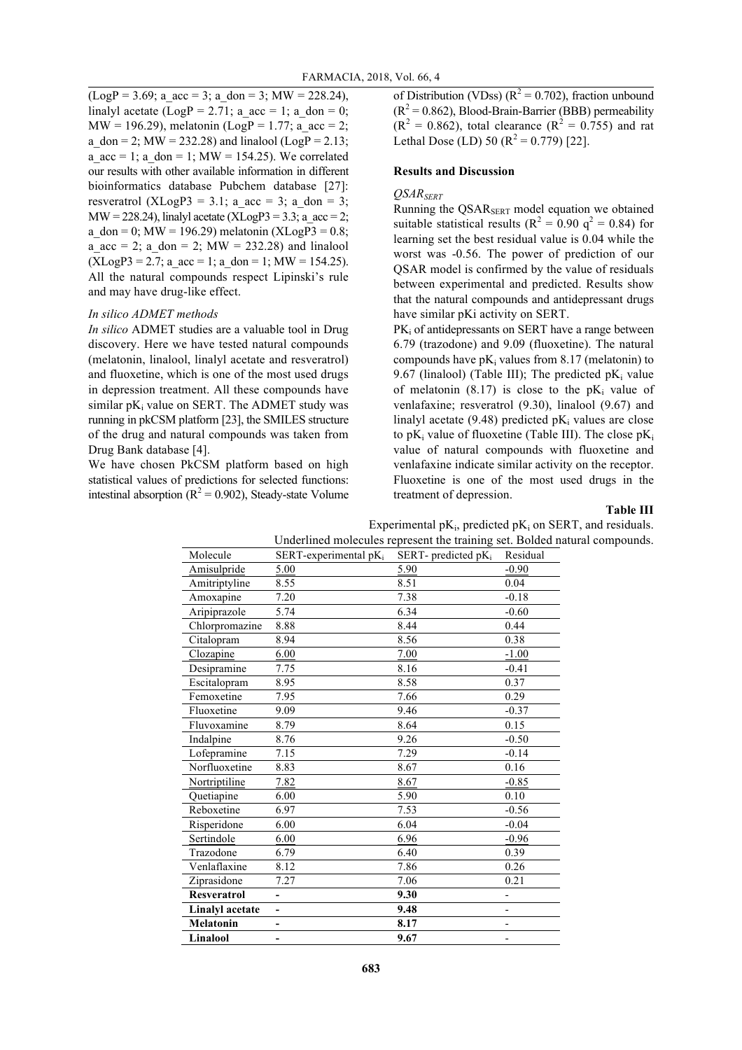$(LogP = 3.69; a \t acc = 3; a \t don = 3; MW = 228.24),$ linalyl acetate (LogP = 2.71; a\_acc = 1; a\_don = 0; MW = 196.29), melatonin (LogP = 1.77; a\_acc = 2; a\_don = 2; MW = 232.28) and linalool (LogP =  $2.13$ ;  $a\_{acc} = 1$ ;  $a\_{don} = 1$ ;  $MW = 154.25$ ). We correlated our results with other available information in different bioinformatics database Pubchem database [27]: resveratrol (XLogP3 = 3.1; a  $acc = 3$ ; a don = 3;  $MW = 228.24$ ), linalyl acetate  $(XLogP3 = 3.3; a \csc = 2;$ a don = 0; MW = 196.29) melatonin (XLogP3 = 0.8; a  $acc = 2$ ; a don = 2; MW = 232.28) and linalool  $(XLogP3 = 2.7; a \nacc = 1; a \ndom = 1; MW = 154.25).$ All the natural compounds respect Lipinski's rule and may have drug-like effect.

### *In silico ADMET methods*

*In silico* ADMET studies are a valuable tool in Drug discovery. Here we have tested natural compounds (melatonin, linalool, linalyl acetate and resveratrol) and fluoxetine, which is one of the most used drugs in depression treatment. All these compounds have similar  $pK_i$  value on SERT. The ADMET study was running in pkCSM platform [23], the SMILES structure of the drug and natural compounds was taken from Drug Bank database [4].

We have chosen PkCSM platform based on high statistical values of predictions for selected functions: intestinal absorption ( $R^2$  = 0.902), Steady-state Volume of Distribution (VDss) ( $R^2 = 0.702$ ), fraction unbound  $(R^2 = 0.862)$ , Blood-Brain-Barrier (BBB) permeability  $(R^{2} = 0.862)$ , total clearance  $(R^{2} = 0.755)$  and rat Lethal Dose (LD) 50 ( $R^2 = 0.779$ ) [22].

### **Results and Discussion**

#### *QSARSERT*

Running the  $QSAR_{SERT}$  model equation we obtained suitable statistical results ( $R^2 = 0.90$  q<sup>2</sup> = 0.84) for learning set the best residual value is 0.04 while the worst was -0.56. The power of prediction of our QSAR model is confirmed by the value of residuals between experimental and predicted. Results show that the natural compounds and antidepressant drugs have similar pKi activity on SERT.

 $PK<sub>i</sub>$  of antidepressants on SERT have a range between 6.79 (trazodone) and 9.09 (fluoxetine). The natural compounds have  $pK_i$  values from 8.17 (melatonin) to 9.67 (linalool) (Table III); The predicted  $pK_i$  value of melatonin (8.17) is close to the  $pK_i$  value of venlafaxine; resveratrol (9.30), linalool (9.67) and linalyl acetate  $(9.48)$  predicted pK<sub>i</sub> values are close to p $K_i$  value of fluoxetine (Table III). The close p $K_i$ value of natural compounds with fluoxetine and venlafaxine indicate similar activity on the receptor. Fluoxetine is one of the most used drugs in the treatment of depression.

### **Table III**

|                        | Underlined molecules represent the training set. Bolded nature |                        |                          |  |  |
|------------------------|----------------------------------------------------------------|------------------------|--------------------------|--|--|
| Molecule               | $SERT$ -experimental p $K_i$                                   | SERT- predicted $pK_i$ | Residual                 |  |  |
| Amisulpride            | 5.00                                                           | 5.90                   | $-0.90$                  |  |  |
| Amitriptyline          | 8.55                                                           | 8.51                   | 0.04                     |  |  |
| Amoxapine              | 7.20                                                           | 7.38                   | $-0.18$                  |  |  |
| Aripiprazole           | 5.74                                                           | 6.34                   | $-0.60$                  |  |  |
| Chlorpromazine         | 8.88                                                           | 8.44                   | 0.44                     |  |  |
| Citalopram             | 8.94                                                           | 8.56                   | 0.38                     |  |  |
| Clozapine              | 6.00                                                           | 7.00                   | $-1.00$                  |  |  |
| Desipramine            | 7.75                                                           | 8.16                   | $-0.41$                  |  |  |
| Escitalopram           | 8.95                                                           | 8.58                   | 0.37                     |  |  |
| Femoxetine             | 7.95                                                           | 7.66                   | 0.29                     |  |  |
| Fluoxetine             | 9.09                                                           | 9.46                   | $-0.37$                  |  |  |
| Fluvoxamine            | 8.79                                                           | 8.64                   | 0.15                     |  |  |
| Indalpine              | 8.76                                                           | 9.26                   | $-0.50$                  |  |  |
| Lofepramine            | 7.15                                                           | 7.29                   | $-0.14$                  |  |  |
| Norfluoxetine          | 8.83                                                           | 8.67                   | 0.16                     |  |  |
| Nortriptiline          | 7.82                                                           | 8.67                   | $-0.85$                  |  |  |
| Quetiapine             | 6.00                                                           | 5.90                   | 0.10                     |  |  |
| Reboxetine             | 6.97                                                           | 7.53                   | $-0.56$                  |  |  |
| Risperidone            | 6.00                                                           | 6.04                   | $-0.04$                  |  |  |
| Sertindole             | 6.00                                                           | 6.96                   | $-0.96$                  |  |  |
| Trazodone              | 6.79                                                           | 6.40                   | 0.39                     |  |  |
| Venlaflaxine           | 8.12                                                           | 7.86                   | 0.26                     |  |  |
| Ziprasidone            | 7.27                                                           | 7.06                   | 0.21                     |  |  |
| <b>Resveratrol</b>     | $\overline{\phantom{0}}$                                       | 9.30                   | -                        |  |  |
| <b>Linalyl</b> acetate | $\overline{\phantom{0}}$                                       | 9.48                   | $\overline{\phantom{0}}$ |  |  |
| <b>Melatonin</b>       | $\overline{\phantom{0}}$                                       | 8.17                   | $\overline{\phantom{0}}$ |  |  |
| Linalool               | $\overline{a}$                                                 | 9.67                   |                          |  |  |
|                        |                                                                |                        |                          |  |  |

Experimental  $pK_i$ , predicted  $pK_i$  on SERT, and residuals. ral compounds.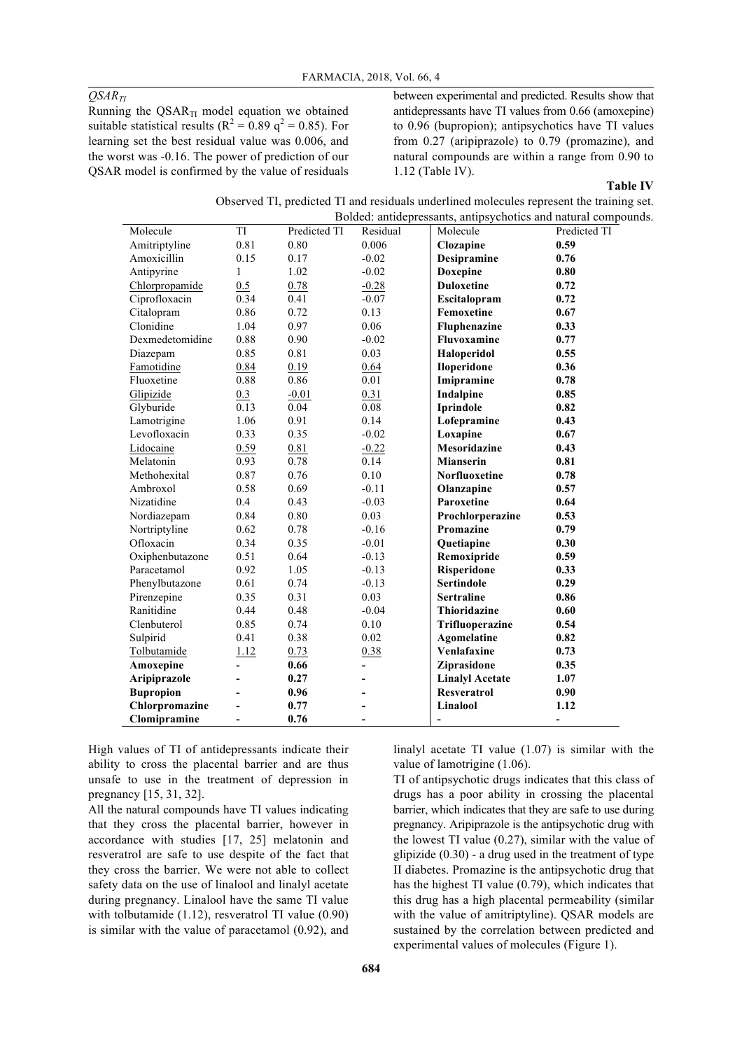### *QSARTI*

Running the  $QSAR_{TI}$  model equation we obtained suitable statistical results ( $R^2 = 0.89$  q<sup>2</sup> = 0.85). For learning set the best residual value was 0.006, and the worst was -0.16. The power of prediction of our QSAR model is confirmed by the value of residuals between experimental and predicted. Results show that antidepressants have TI values from 0.66 (amoxepine) to 0.96 (bupropion); antipsychotics have TI values from 0.27 (aripiprazole) to 0.79 (promazine), and natural compounds are within a range from 0.90 to 1.12 (Table IV).

### **Table IV**

| Observed TI, predicted TI and residuals underlined molecules represent the training set. |
|------------------------------------------------------------------------------------------|
| Bolded: antidepressants, antipsychotics and natural compounds.                           |

|                  |                |              |                | Bolded: antidepressants, antipsychotics and natural compour |                |
|------------------|----------------|--------------|----------------|-------------------------------------------------------------|----------------|
| Molecule         | TI             | Predicted TI | Residual       | Molecule                                                    | Predicted TI   |
| Amitriptyline    | 0.81           | 0.80         | 0.006          | Clozapine                                                   | 0.59           |
| Amoxicillin      | 0.15           | 0.17         | $-0.02$        | <b>Desipramine</b>                                          | 0.76           |
| Antipyrine       | 1              | 1.02         | $-0.02$        | <b>Doxepine</b>                                             | 0.80           |
| Chlorpropamide   | 0.5            | 0.78         | $-0.28$        | <b>Duloxetine</b>                                           | 0.72           |
| Ciprofloxacin    | 0.34           | 0.41         | $-0.07$        | Escitalopram                                                | 0.72           |
| Citalopram       | 0.86           | 0.72         | 0.13           | <b>Femoxetine</b>                                           | 0.67           |
| Clonidine        | 1.04           | 0.97         | 0.06           | Fluphenazine                                                | 0.33           |
| Dexmedetomidine  | 0.88           | 0.90         | $-0.02$        | <b>Fluvoxamine</b>                                          | 0.77           |
| Diazepam         | 0.85           | 0.81         | 0.03           | Haloperidol                                                 | 0.55           |
| Famotidine       | 0.84           | 0.19         | 0.64           | <b>Iloperidone</b>                                          | 0.36           |
| Fluoxetine       | 0.88           | 0.86         | $0.01\,$       | Imipramine                                                  | 0.78           |
| Glipizide        | 0.3            | $-0.01$      | 0.31           | Indalpine                                                   | 0.85           |
| Glyburide        | 0.13           | 0.04         | 0.08           | Iprindole                                                   | 0.82           |
| Lamotrigine      | 1.06           | 0.91         | 0.14           | Lofepramine                                                 | 0.43           |
| Levofloxacin     | 0.33           | 0.35         | $-0.02$        | Loxapine                                                    | 0.67           |
| Lidocaine        | 0.59           | 0.81         | $-0.22$        | <b>Mesoridazine</b>                                         | 0.43           |
| Melatonin        | 0.93           | 0.78         | 0.14           | <b>Mianserin</b>                                            | 0.81           |
| Methohexital     | 0.87           | 0.76         | 0.10           | <b>Norfluoxetine</b>                                        | 0.78           |
| Ambroxol         | 0.58           | 0.69         | $-0.11$        | Olanzapine                                                  | 0.57           |
| Nizatidine       | 0.4            | 0.43         | $-0.03$        | Paroxetine                                                  | 0.64           |
| Nordiazepam      | 0.84           | 0.80         | 0.03           | Prochlorperazine                                            | 0.53           |
| Nortriptyline    | 0.62           | 0.78         | $-0.16$        | Promazine                                                   | 0.79           |
| Ofloxacin        | 0.34           | 0.35         | $-0.01$        | Quetiapine                                                  | 0.30           |
| Oxiphenbutazone  | 0.51           | 0.64         | $-0.13$        | Remoxipride                                                 | 0.59           |
| Paracetamol      | 0.92           | 1.05         | $-0.13$        | Risperidone                                                 | 0.33           |
| Phenylbutazone   | 0.61           | 0.74         | $-0.13$        | <b>Sertindole</b>                                           | 0.29           |
| Pirenzepine      | 0.35           | 0.31         | 0.03           | <b>Sertraline</b>                                           | 0.86           |
| Ranitidine       | 0.44           | 0.48         | $-0.04$        | Thioridazine                                                | 0.60           |
| Clenbuterol      | 0.85           | 0.74         | 0.10           | Trifluoperazine                                             | 0.54           |
| Sulpirid         | 0.41           | 0.38         | 0.02           | Agomelatine                                                 | 0.82           |
| Tolbutamide      | 1.12           | 0.73         | 0.38           | Venlafaxine                                                 | 0.73           |
| Amoxepine        | $\overline{a}$ | 0.66         | $\overline{a}$ | Ziprasidone                                                 | 0.35           |
| Aripiprazole     |                | 0.27         |                | <b>Linalyl Acetate</b>                                      | 1.07           |
| <b>Bupropion</b> |                | 0.96         |                | <b>Resveratrol</b>                                          | 0.90           |
| Chlorpromazine   |                | 0.77         |                | Linalool                                                    | 1.12           |
| Clomipramine     | $\overline{a}$ | 0.76         | $\overline{a}$ | -                                                           | $\overline{a}$ |

High values of TI of antidepressants indicate their ability to cross the placental barrier and are thus unsafe to use in the treatment of depression in pregnancy [15, 31, 32].

All the natural compounds have TI values indicating that they cross the placental barrier, however in accordance with studies [17, 25] melatonin and resveratrol are safe to use despite of the fact that they cross the barrier. We were not able to collect safety data on the use of linalool and linalyl acetate during pregnancy. Linalool have the same TI value with tolbutamide (1.12), resveratrol TI value (0.90) is similar with the value of paracetamol (0.92), and

linalyl acetate TI value (1.07) is similar with the value of lamotrigine (1.06).

TI of antipsychotic drugs indicates that this class of drugs has a poor ability in crossing the placental barrier, which indicates that they are safe to use during pregnancy. Aripiprazole is the antipsychotic drug with the lowest TI value (0.27), similar with the value of glipizide  $(0.30)$  - a drug used in the treatment of type II diabetes. Promazine is the antipsychotic drug that has the highest TI value (0.79), which indicates that this drug has a high placental permeability (similar with the value of amitriptyline). QSAR models are sustained by the correlation between predicted and experimental values of molecules (Figure 1).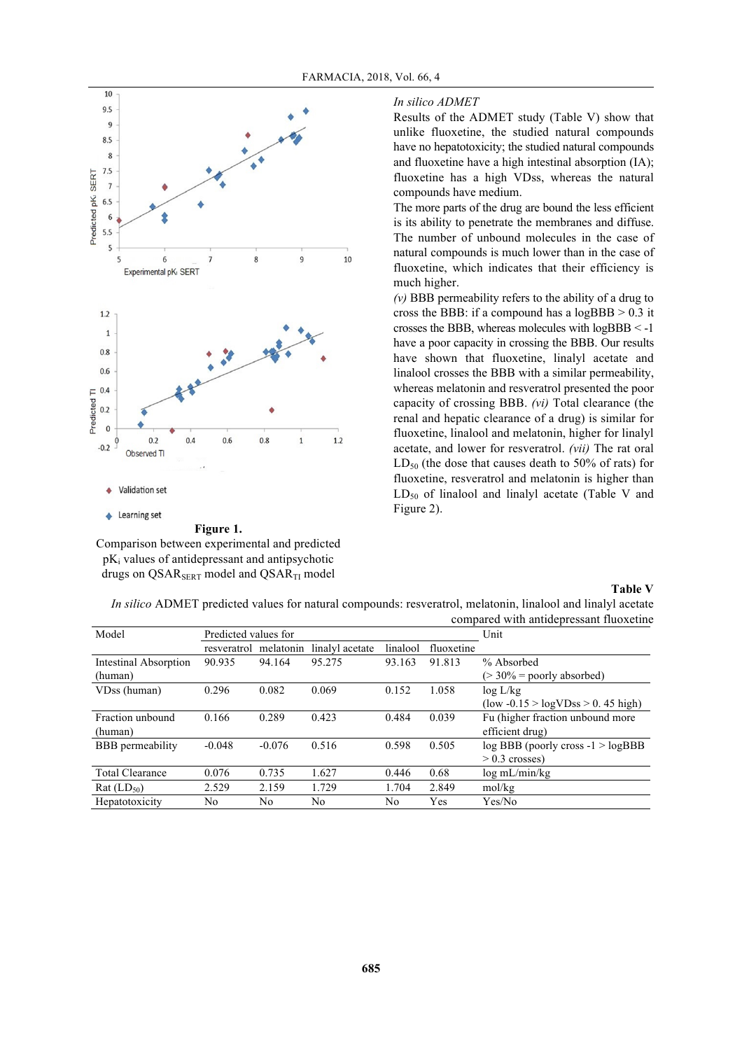

Comparison between experimental and predicted  $pK_i$  values of antidepressant and antipsychotic drugs on QSAR $_{\rm SERT}$  model and QSAR $_{\rm TI}$  model

### *In silico ADMET*

Results of the ADMET study (Table V) show that unlike fluoxetine, the studied natural compounds have no hepatotoxicity; the studied natural compounds and fluoxetine have a high intestinal absorption (IA); fluoxetine has a high VDss, whereas the natural compounds have medium.

The more parts of the drug are bound the less efficient is its ability to penetrate the membranes and diffuse. The number of unbound molecules in the case of natural compounds is much lower than in the case of fluoxetine, which indicates that their efficiency is much higher.

*(v)* BBB permeability refers to the ability of a drug to cross the BBB: if a compound has a  $logBBB > 0.3$  it crosses the BBB, whereas molecules with logBBB < -1 have a poor capacity in crossing the BBB. Our results have shown that fluoxetine, linalyl acetate and linalool crosses the BBB with a similar permeability, whereas melatonin and resveratrol presented the poor capacity of crossing BBB. *(vi)* Total clearance (the renal and hepatic clearance of a drug) is similar for fluoxetine, linalool and melatonin, higher for linalyl acetate, and lower for resveratrol. *(vii)* The rat oral  $LD_{50}$  (the dose that causes death to 50% of rats) for fluoxetine, resveratrol and melatonin is higher than  $LD_{50}$  of linalool and linalyl acetate (Table V and Figure 2).

### **Table V**

|                              |                       |          |                 |          |            | compared with antigepressam muoxeune                      |
|------------------------------|-----------------------|----------|-----------------|----------|------------|-----------------------------------------------------------|
| Model                        | Predicted values for  |          |                 | Unit     |            |                                                           |
|                              | resveratrol melatonin |          | linalyl acetate | linalool | fluoxetine |                                                           |
| <b>Intestinal Absorption</b> | 90.935                | 94.164   | 95.275          | 93.163   | 91.813     | % Absorbed                                                |
| (human)                      |                       |          |                 |          |            | $(>30\%$ = poorly absorbed)                               |
| VDss (human)                 | 0.296                 | 0.082    | 0.069           | 0.152    | 1.058      | $\log L/kg$                                               |
|                              |                       |          |                 |          |            | $\text{(low -0.15} > \text{logVDss} > 0.45 \text{ high)}$ |
| Fraction unbound             | 0.166                 | 0.289    | 0.423           | 0.484    | 0.039      | Fu (higher fraction unbound more                          |
| (human)                      |                       |          |                 |          |            | efficient drug)                                           |
| <b>BBB</b> permeability      | $-0.048$              | $-0.076$ | 0.516           | 0.598    | 0.505      | $log$ BBB (poorly cross $-1$ > $log$ BBB                  |
|                              |                       |          |                 |          |            | $> 0.3$ crosses)                                          |
| <b>Total Clearance</b>       | 0.076                 | 0.735    | 1.627           | 0.446    | 0.68       | $\log$ mL/min/kg                                          |
| Rat (LD <sub>50</sub> )      | 2.529                 | 2.159    | 1.729           | 1.704    | 2.849      | mol/kg                                                    |
| Hepatotoxicity               | No.                   | No       | No              | No       | Yes        | Yes/No                                                    |

*In silico* ADMET predicted values for natural compounds: resveratrol, melatonin, linalool and linalyl acetate compared with antidepressant fluoxetine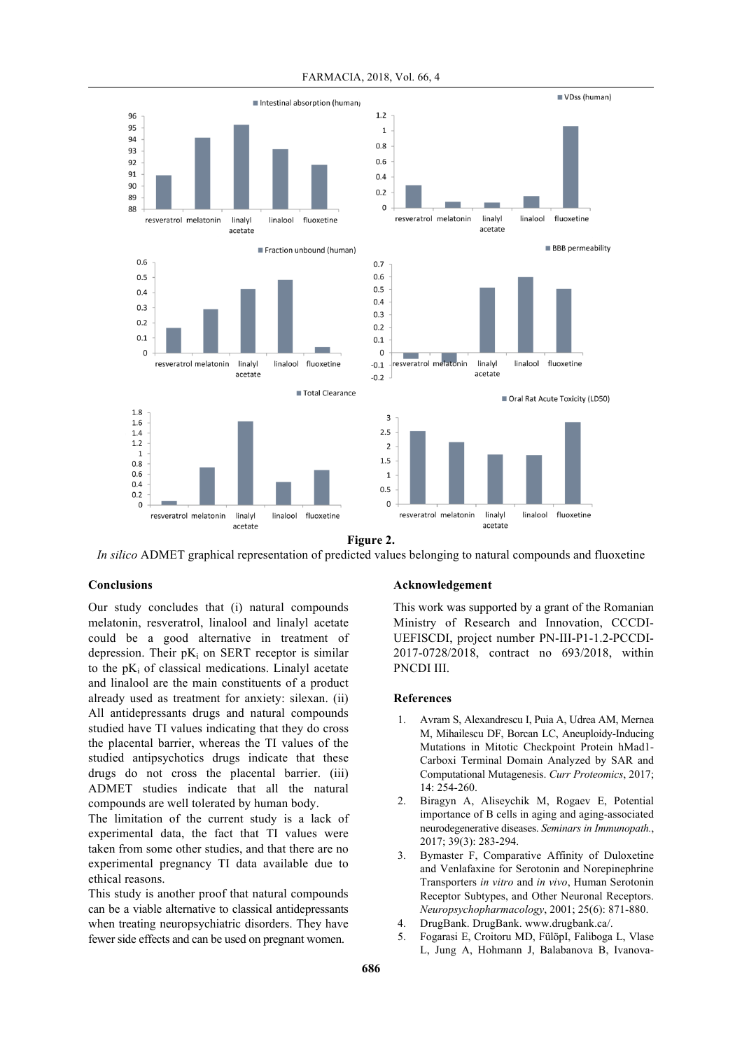

FARMACIA, 2018, Vol. 66, 4

**Figure 2.**

*In silico* ADMET graphical representation of predicted values belonging to natural compounds and fluoxetine

### **Conclusions**

Our study concludes that (i) natural compounds melatonin, resveratrol, linalool and linalyl acetate could be a good alternative in treatment of depression. Their  $pK_i$  on SERT receptor is similar to the  $pK_i$  of classical medications. Linalyl acetate and linalool are the main constituents of a product already used as treatment for anxiety: silexan. (ii) All antidepressants drugs and natural compounds studied have TI values indicating that they do cross the placental barrier, whereas the TI values of the studied antipsychotics drugs indicate that these drugs do not cross the placental barrier. (iii) ADMET studies indicate that all the natural compounds are well tolerated by human body.

The limitation of the current study is a lack of experimental data, the fact that TI values were taken from some other studies, and that there are no experimental pregnancy TI data available due to ethical reasons.

This study is another proof that natural compounds can be a viable alternative to classical antidepressants when treating neuropsychiatric disorders. They have fewer side effects and can be used on pregnant women.

#### **Acknowledgement**

This work was supported by a grant of the Romanian Ministry of Research and Innovation, CCCDI-UEFISCDI, project number PN-III-P1-1.2-PCCDI-2017-0728/2018, contract no 693/2018, within PNCDI III.

#### **References**

- 1. Avram S, Alexandrescu I, Puia A, Udrea AM, Mernea M, Mihailescu DF, Borcan LC, Aneuploidy-Inducing Mutations in Mitotic Checkpoint Protein hMad1- Carboxi Terminal Domain Analyzed by SAR and Computational Mutagenesis. *Curr Proteomics*, 2017;  $14.254 - 260$
- 2. Biragyn A, Aliseychik M, Rogaev E, Potential importance of B cells in aging and aging-associated neurodegenerative diseases. *Seminars in Immunopath.*, 2017; 39(3): 283-294.
- 3. Bymaster F, Comparative Affinity of Duloxetine and Venlafaxine for Serotonin and Norepinephrine Transporters *in vitro* and *in vivo*, Human Serotonin Receptor Subtypes, and Other Neuronal Receptors. *Neuropsychopharmacology*, 2001; 25(6): 871-880.
- 4. DrugBank. DrugBank. www.drugbank.ca/.
- 5. Fogarasi E, Croitoru MD, FülöpI, Faliboga L, Vlase L, Jung A, Hohmann J, Balabanova B, Ivanova-